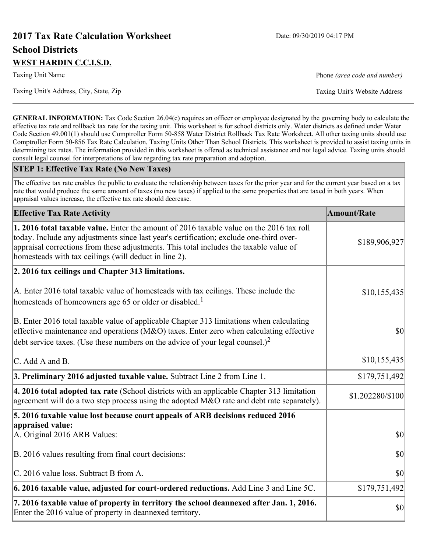# **2017 Tax Rate Calculation Worksheet** Date: 09/30/2019 04:17 PM **School Districts WEST HARDIN C.C.I.S.D.**

Taxing Unit's Address, City, State, Zip Taxing Unit's Website Address

Taxing Unit Name **Phone** *(area code and number)* Phone *(area code and number)* 

**GENERAL INFORMATION:** Tax Code Section 26.04(c) requires an officer or employee designated by the governing body to calculate the effective tax rate and rollback tax rate for the taxing unit. This worksheet is for school districts only. Water districts as defined under Water Code Section 49.001(1) should use Comptroller Form 50-858 Water District Rollback Tax Rate Worksheet. All other taxing units should use Comptroller Form 50-856 Tax Rate Calculation, Taxing Units Other Than School Districts. This worksheet is provided to assist taxing units in determining tax rates. The information provided in this worksheet is offered as technical assistance and not legal advice. Taxing units should consult legal counsel for interpretations of law regarding tax rate preparation and adoption.

#### **STEP 1: Effective Tax Rate (No New Taxes)**

The effective tax rate enables the public to evaluate the relationship between taxes for the prior year and for the current year based on a tax rate that would produce the same amount of taxes (no new taxes) if applied to the same properties that are taxed in both years. When appraisal values increase, the effective tax rate should decrease.

| <b>Effective Tax Rate Activity</b>                                                                                                                                                                                                                                                                                                     | <b>Amount/Rate</b> |
|----------------------------------------------------------------------------------------------------------------------------------------------------------------------------------------------------------------------------------------------------------------------------------------------------------------------------------------|--------------------|
| 1. 2016 total taxable value. Enter the amount of 2016 taxable value on the 2016 tax roll<br>today. Include any adjustments since last year's certification; exclude one-third over-<br>appraisal corrections from these adjustments. This total includes the taxable value of<br>homesteads with tax ceilings (will deduct in line 2). | \$189,906,927      |
| 2. 2016 tax ceilings and Chapter 313 limitations.                                                                                                                                                                                                                                                                                      |                    |
| A. Enter 2016 total taxable value of homesteads with tax ceilings. These include the<br>homesteads of homeowners age 65 or older or disabled. <sup>1</sup>                                                                                                                                                                             | \$10,155,435       |
| B. Enter 2016 total taxable value of applicable Chapter 313 limitations when calculating<br>effective maintenance and operations ( $M&O$ ) taxes. Enter zero when calculating effective<br>debt service taxes. (Use these numbers on the advice of your legal counsel.) <sup>2</sup>                                                   | $ 10\rangle$       |
| C. Add A and B.                                                                                                                                                                                                                                                                                                                        | \$10,155,435       |
| 3. Preliminary 2016 adjusted taxable value. Subtract Line 2 from Line 1.                                                                                                                                                                                                                                                               | \$179,751,492      |
| $\vert$ 4. 2016 total adopted tax rate (School districts with an applicable Chapter 313 limitation<br>agreement will do a two step process using the adopted M&O rate and debt rate separately).                                                                                                                                       | \$1.202280/\$100   |
| 5. 2016 taxable value lost because court appeals of ARB decisions reduced 2016                                                                                                                                                                                                                                                         |                    |
| appraised value:<br>A. Original 2016 ARB Values:                                                                                                                                                                                                                                                                                       | $ 10\rangle$       |
| B. 2016 values resulting from final court decisions:                                                                                                                                                                                                                                                                                   | $ 10\rangle$       |
| C. 2016 value loss. Subtract B from A.                                                                                                                                                                                                                                                                                                 | \$0                |
| 6. 2016 taxable value, adjusted for court-ordered reductions. Add Line 3 and Line 5C.                                                                                                                                                                                                                                                  | \$179,751,492      |
| 7. 2016 taxable value of property in territory the school deannexed after Jan. 1, 2016.<br>Enter the 2016 value of property in deannexed territory.                                                                                                                                                                                    | \$0                |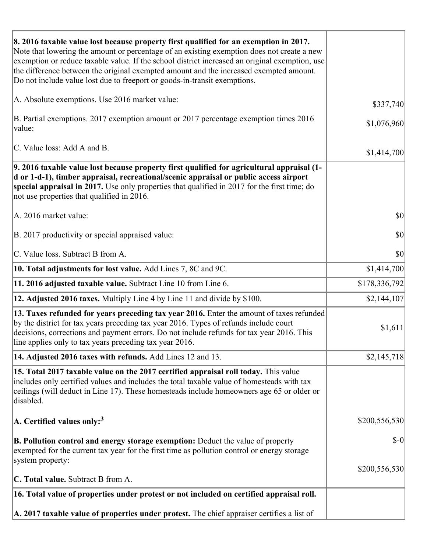| 8. 2016 taxable value lost because property first qualified for an exemption in 2017.<br>Note that lowering the amount or percentage of an existing exemption does not create a new<br>exemption or reduce taxable value. If the school district increased an original exemption, use<br>the difference between the original exempted amount and the increased exempted amount.<br>Do not include value lost due to freeport or goods-in-transit exemptions. |               |
|--------------------------------------------------------------------------------------------------------------------------------------------------------------------------------------------------------------------------------------------------------------------------------------------------------------------------------------------------------------------------------------------------------------------------------------------------------------|---------------|
| A. Absolute exemptions. Use 2016 market value:                                                                                                                                                                                                                                                                                                                                                                                                               | \$337,740     |
| B. Partial exemptions. 2017 exemption amount or 2017 percentage exemption times 2016<br>value:                                                                                                                                                                                                                                                                                                                                                               | \$1,076,960   |
| C. Value loss: Add A and B.                                                                                                                                                                                                                                                                                                                                                                                                                                  | \$1,414,700   |
| 9. 2016 taxable value lost because property first qualified for agricultural appraisal (1-<br>d or 1-d-1), timber appraisal, recreational/scenic appraisal or public access airport<br>special appraisal in 2017. Use only properties that qualified in 2017 for the first time; do<br>not use properties that qualified in 2016.                                                                                                                            |               |
| A. 2016 market value:                                                                                                                                                                                                                                                                                                                                                                                                                                        | \$0           |
| B. 2017 productivity or special appraised value:                                                                                                                                                                                                                                                                                                                                                                                                             | \$0           |
| C. Value loss. Subtract B from A.                                                                                                                                                                                                                                                                                                                                                                                                                            | \$0           |
| <b>10. Total adjustments for lost value.</b> Add Lines 7, 8C and 9C.                                                                                                                                                                                                                                                                                                                                                                                         | \$1,414,700   |
| 11. 2016 adjusted taxable value. Subtract Line 10 from Line 6.                                                                                                                                                                                                                                                                                                                                                                                               | \$178,336,792 |
| <b>12. Adjusted 2016 taxes.</b> Multiply Line 4 by Line 11 and divide by \$100.                                                                                                                                                                                                                                                                                                                                                                              | \$2,144,107   |
| [13. Taxes refunded for years preceding tax year 2016. Enter the amount of taxes refunded]<br>by the district for tax years preceding tax year 2016. Types of refunds include court<br>decisions, corrections and payment errors. Do not include refunds for tax year 2016. This<br>line applies only to tax years preceding tax year 2016.                                                                                                                  | \$1,611       |
| 14. Adjusted 2016 taxes with refunds. Add Lines 12 and 13.                                                                                                                                                                                                                                                                                                                                                                                                   | \$2,145,718   |
| 15. Total 2017 taxable value on the 2017 certified appraisal roll today. This value<br>includes only certified values and includes the total taxable value of homesteads with tax<br>ceilings (will deduct in Line 17). These homesteads include homeowners age 65 or older or<br>disabled.                                                                                                                                                                  |               |
| $ A$ . Certified values only: <sup>3</sup>                                                                                                                                                                                                                                                                                                                                                                                                                   | \$200,556,530 |
| <b>B. Pollution control and energy storage exemption:</b> Deduct the value of property<br>exempted for the current tax year for the first time as pollution control or energy storage<br>system property:                                                                                                                                                                                                                                                    | $\delta$ -0   |
| <b>C. Total value.</b> Subtract B from A.                                                                                                                                                                                                                                                                                                                                                                                                                    | \$200,556,530 |
|                                                                                                                                                                                                                                                                                                                                                                                                                                                              |               |
| 16. Total value of properties under protest or not included on certified appraisal roll.                                                                                                                                                                                                                                                                                                                                                                     |               |
| A. 2017 taxable value of properties under protest. The chief appraiser certifies a list of                                                                                                                                                                                                                                                                                                                                                                   |               |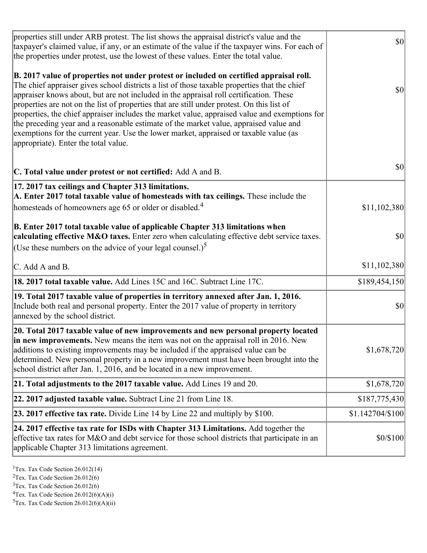| properties still under ARB protest. The list shows the appraisal district's value and the<br>taxpayer's claimed value, if any, or an estimate of the value if the taxpayer wins. For each of<br>the properties under protest, use the lowest of these values. Enter the total value.                                                                                                                                                                                                                                                                                                                                                                                                                      | $ 10\rangle$     |
|-----------------------------------------------------------------------------------------------------------------------------------------------------------------------------------------------------------------------------------------------------------------------------------------------------------------------------------------------------------------------------------------------------------------------------------------------------------------------------------------------------------------------------------------------------------------------------------------------------------------------------------------------------------------------------------------------------------|------------------|
| B. 2017 value of properties not under protest or included on certified appraisal roll.<br>The chief appraiser gives school districts a list of those taxable properties that the chief<br>appraiser knows about, but are not included in the appraisal roll certification. These<br>properties are not on the list of properties that are still under protest. On this list of<br>properties, the chief appraiser includes the market value, appraised value and exemptions for<br>the preceding year and a reasonable estimate of the market value, appraised value and<br>exemptions for the current year. Use the lower market, appraised or taxable value (as<br>appropriate). Enter the total value. | $ 10\rangle$     |
| C. Total value under protest or not certified: Add A and B.                                                                                                                                                                                                                                                                                                                                                                                                                                                                                                                                                                                                                                               | $ 10\rangle$     |
| 17. 2017 tax ceilings and Chapter 313 limitations.<br>A. Enter 2017 total taxable value of homesteads with tax ceilings. These include the<br>homesteads of homeowners age 65 or older or disabled. <sup>4</sup>                                                                                                                                                                                                                                                                                                                                                                                                                                                                                          | \$11,102,380     |
| B. Enter 2017 total taxable value of applicable Chapter 313 limitations when<br>calculating effective M&O taxes. Enter zero when calculating effective debt service taxes.<br>(Use these numbers on the advice of your legal counsel.) <sup>5</sup>                                                                                                                                                                                                                                                                                                                                                                                                                                                       | $ 10\rangle$     |
| C. Add A and B.                                                                                                                                                                                                                                                                                                                                                                                                                                                                                                                                                                                                                                                                                           | \$11,102,380     |
| 18. 2017 total taxable value. Add Lines 15C and 16C. Subtract Line 17C.                                                                                                                                                                                                                                                                                                                                                                                                                                                                                                                                                                                                                                   | \$189,454,150    |
| 19. Total 2017 taxable value of properties in territory annexed after Jan. 1, 2016.<br>Include both real and personal property. Enter the 2017 value of property in territory<br>annexed by the school district.                                                                                                                                                                                                                                                                                                                                                                                                                                                                                          | $ 10\rangle$     |
| 20. Total 2017 taxable value of new improvements and new personal property located<br>in new improvements. New means the item was not on the appraisal roll in 2016. New<br>additions to existing improvements may be included if the appraised value can be<br>determined. New personal property in a new improvement must have been brought into the<br>school district after Jan. 1, 2016, and be located in a new improvement.                                                                                                                                                                                                                                                                        | \$1,678,720      |
| 21. Total adjustments to the 2017 taxable value. Add Lines 19 and 20.                                                                                                                                                                                                                                                                                                                                                                                                                                                                                                                                                                                                                                     | \$1,678,720      |
| $ 22.2017$ adjusted taxable value. Subtract Line 21 from Line 18.                                                                                                                                                                                                                                                                                                                                                                                                                                                                                                                                                                                                                                         | \$187,775,430    |
| <b>23. 2017 effective tax rate.</b> Divide Line 14 by Line 22 and multiply by \$100.                                                                                                                                                                                                                                                                                                                                                                                                                                                                                                                                                                                                                      | \$1.142704/\$100 |
| 24. 2017 effective tax rate for ISDs with Chapter 313 Limitations. Add together the<br>effective tax rates for M&O and debt service for those school districts that participate in an<br>applicable Chapter 313 limitations agreement.                                                                                                                                                                                                                                                                                                                                                                                                                                                                    | \$0/\$100        |

<sup>1</sup>Tex. Tax Code Section 26.012(14)

<sup>2</sup>Tex. Tax Code Section 26.012(6)

 $3$ Tex. Tax Code Section 26.012(6)

 ${}^{4}$ Tex. Tax Code Section 26.012(6)(A)(i)

 ${}^{5}$ Tex. Tax Code Section 26.012(6)(A)(ii)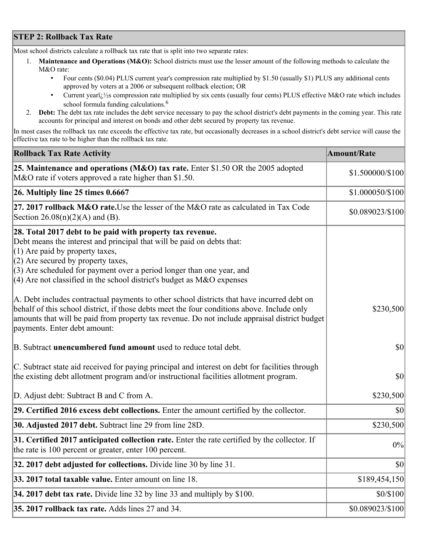## **STEP 2: Rollback Tax Rate**

Most school districts calculate a rollback tax rate that is split into two separate rates:

- 1. **Maintenance and Operations (M&O):** School districts must use the lesser amount of the following methods to calculate the M&O rate:
	- Four cents (\$0.04) PLUS current year's compression rate multiplied by \$1.50 (usually \$1) PLUS any additional cents approved by voters at a 2006 or subsequent rollback election; OR
	- Current year $i/\frac{1}{2}$ s compression rate multiplied by six cents (usually four cents) PLUS effective M&O rate which includes school formula funding calculations.<sup>6</sup>
- 2. **Debt:** The debt tax rate includes the debt service necessary to pay the school district's debt payments in the coming year. This rate accounts for principal and interest on bonds and other debt secured by property tax revenue.

In most cases the rollback tax rate exceeds the effective tax rate, but occasionally decreases in a school district's debt service will cause the effective tax rate to be higher than the rollback tax rate.

| <b>Rollback Tax Rate Activity</b>                                                                                                                                                                                                                                                                                                                                       | <b>Amount/Rate</b> |
|-------------------------------------------------------------------------------------------------------------------------------------------------------------------------------------------------------------------------------------------------------------------------------------------------------------------------------------------------------------------------|--------------------|
| 25. Maintenance and operations (M&O) tax rate. Enter \$1.50 OR the 2005 adopted<br>M&O rate if voters approved a rate higher than \$1.50.                                                                                                                                                                                                                               | \$1.500000/\$100   |
| $26.$ Multiply line 25 times $0.6667$                                                                                                                                                                                                                                                                                                                                   | \$1.000050/\$100   |
| 27. 2017 rollback M&O rate. Use the lesser of the M&O rate as calculated in Tax Code<br>Section $26.08(n)(2)(A)$ and (B).                                                                                                                                                                                                                                               | \$0.089023/\$100   |
| 28. Total 2017 debt to be paid with property tax revenue.<br>Debt means the interest and principal that will be paid on debts that:<br>$(1)$ Are paid by property taxes,<br>$(2)$ Are secured by property taxes,<br>$(3)$ Are scheduled for payment over a period longer than one year, and<br>$(4)$ Are not classified in the school district's budget as M&O expenses |                    |
| A. Debt includes contractual payments to other school districts that have incurred debt on<br>behalf of this school district, if those debts meet the four conditions above. Include only<br>amounts that will be paid from property tax revenue. Do not include appraisal district budget<br>payments. Enter debt amount:                                              | \$230,500          |
| B. Subtract unencumbered fund amount used to reduce total debt.                                                                                                                                                                                                                                                                                                         | $ 10\rangle$       |
| C. Subtract state aid received for paying principal and interest on debt for facilities through<br>the existing debt allotment program and/or instructional facilities allotment program.                                                                                                                                                                               | \$0                |
| D. Adjust debt: Subtract B and C from A.                                                                                                                                                                                                                                                                                                                                | \$230,500          |
| 29. Certified 2016 excess debt collections. Enter the amount certified by the collector.                                                                                                                                                                                                                                                                                | $ 10\rangle$       |
| 30. Adjusted 2017 debt. Subtract line 29 from line 28D.                                                                                                                                                                                                                                                                                                                 | \$230,500          |
| 31. Certified 2017 anticipated collection rate. Enter the rate certified by the collector. If<br>the rate is 100 percent or greater, enter 100 percent.                                                                                                                                                                                                                 | 0%                 |
| $32.2017$ debt adjusted for collections. Divide line 30 by line 31.                                                                                                                                                                                                                                                                                                     | $ 10\rangle$       |
| 33. 2017 total taxable value. Enter amount on line 18.                                                                                                                                                                                                                                                                                                                  | \$189,454,150      |
| 34. 2017 debt tax rate. Divide line 32 by line 33 and multiply by \$100.                                                                                                                                                                                                                                                                                                | \$0/\$100          |
| 35. 2017 rollback tax rate. Adds lines 27 and 34.                                                                                                                                                                                                                                                                                                                       | \$0.089023/\$100   |